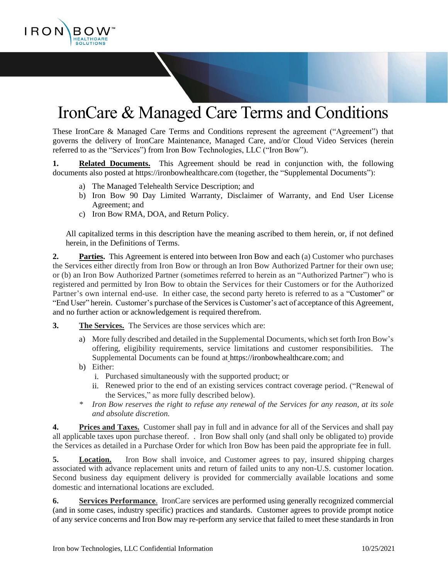

# IronCare & Managed Care Terms and Conditions

These IronCare & Managed Care Terms and Conditions represent the agreement ("Agreement") that governs the delivery of IronCare Maintenance, Managed Care, and/or Cloud Video Services (herein referred to as the "Services") from Iron Bow Technologies, LLC ("Iron Bow").

**1. Related Documents.** This Agreement should be read in conjunction with, the following documents also posted at https://ironbowhealthcare.com (together, the "Supplemental Documents"):

- a) The Managed Telehealth Service Description; and
- b) Iron Bow 90 Day Limited Warranty, Disclaimer of Warranty, and End User License Agreement; and
- c) Iron Bow RMA, DOA, and Return Policy.

All capitalized terms in this description have the meaning ascribed to them herein, or, if not defined herein, in the Definitions of Terms.

**2. Parties.** This Agreement is entered into between Iron Bow and each (a) Customer who purchases the Services either directly from Iron Bow or through an Iron Bow Authorized Partner for their own use; or (b) an Iron Bow Authorized Partner (sometimes referred to herein as an "Authorized Partner") who is registered and permitted by Iron Bow to obtain the Services for their Customers or for the Authorized Partner's own internal end-use. In either case, the second party hereto is referred to as a "Customer" or "End User" herein. Customer's purchase of the Services is Customer's act of acceptance of this Agreement, and no further action or acknowledgement is required therefrom.

- **3. The Services.** The Services are those services which are:
	- a) More fully described and detailed in the Supplemental Documents, which set forth Iron Bow's offering, eligibility requirements, service limitations and customer responsibilities. The Supplemental Documents can be found at https://ironbowhealthcare.com; and
	- b) Either:
		- i. Purchased simultaneously with the supported product; or
		- ii. Renewed prior to the end of an existing services contract coverage period. ("Renewal of the Services," as more fully described below).
	- *\* Iron Bow reserves the right to refuse any renewal of the Services for any reason, at its sole and absolute discretion.*

**4. Prices and Taxes.** Customer shall pay in full and in advance for all of the Services and shall pay all applicable taxes upon purchase thereof. . Iron Bow shall only (and shall only be obligated to) provide the Services as detailed in a Purchase Order for which Iron Bow has been paid the appropriate fee in full.

**5. Location.** Iron Bow shall invoice, and Customer agrees to pay, insured shipping charges associated with advance replacement units and return of failed units to any non-U.S. customer location. Second business day equipment delivery is provided for commercially available locations and some domestic and international locations are excluded.

**6. Services Performance**. IronCare services are performed using generally recognized commercial (and in some cases, industry specific) practices and standards. Customer agrees to provide prompt notice of any service concerns and Iron Bow may re-perform any service that failed to meet these standards in Iron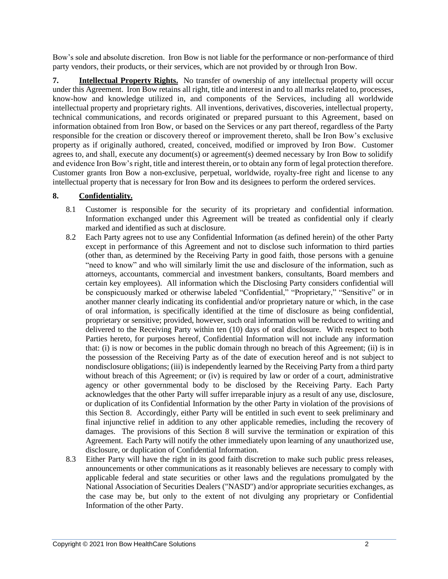Bow's sole and absolute discretion. Iron Bow is not liable for the performance or non-performance of third party vendors, their products, or their services, which are not provided by or through Iron Bow.

**7. Intellectual Property Rights.** No transfer of ownership of any intellectual property will occur under this Agreement. Iron Bow retains all right, title and interest in and to all marks related to, processes, know-how and knowledge utilized in, and components of the Services, including all worldwide intellectual property and proprietary rights. All inventions, derivatives, discoveries, intellectual property, technical communications, and records originated or prepared pursuant to this Agreement, based on information obtained from Iron Bow, or based on the Services or any part thereof, regardless of the Party responsible for the creation or discovery thereof or improvement thereto, shall be Iron Bow's exclusive property as if originally authored, created, conceived, modified or improved by Iron Bow. Customer agrees to, and shall, execute any document(s) or agreement(s) deemed necessary by Iron Bow to solidify and evidence Iron Bow's right, title and interest therein, or to obtain any form of legal protection therefore. Customer grants Iron Bow a non-exclusive, perpetual, worldwide, royalty-free right and license to any intellectual property that is necessary for Iron Bow and its designees to perform the ordered services.

### **8. Confidentiality.**

- 8.1 Customer is responsible for the security of its proprietary and confidential information. Information exchanged under this Agreement will be treated as confidential only if clearly marked and identified as such at disclosure.
- 8.2 Each Party agrees not to use any Confidential Information (as defined herein) of the other Party except in performance of this Agreement and not to disclose such information to third parties (other than, as determined by the Receiving Party in good faith, those persons with a genuine "need to know" and who will similarly limit the use and disclosure of the information, such as attorneys, accountants, commercial and investment bankers, consultants, Board members and certain key employees). All information which the Disclosing Party considers confidential will be conspicuously marked or otherwise labeled "Confidential," "Proprietary," "Sensitive" or in another manner clearly indicating its confidential and/or proprietary nature or which, in the case of oral information, is specifically identified at the time of disclosure as being confidential, proprietary or sensitive; provided, however, such oral information will be reduced to writing and delivered to the Receiving Party within ten (10) days of oral disclosure. With respect to both Parties hereto, for purposes hereof, Confidential Information will not include any information that: (i) is now or becomes in the public domain through no breach of this Agreement; (ii) is in the possession of the Receiving Party as of the date of execution hereof and is not subject to nondisclosure obligations; (iii) is independently learned by the Receiving Party from a third party without breach of this Agreement; or (iv) is required by law or order of a court, administrative agency or other governmental body to be disclosed by the Receiving Party. Each Party acknowledges that the other Party will suffer irreparable injury as a result of any use, disclosure, or duplication of its Confidential Information by the other Party in violation of the provisions of this Section 8. Accordingly, either Party will be entitled in such event to seek preliminary and final injunctive relief in addition to any other applicable remedies, including the recovery of damages. The provisions of this Section 8 will survive the termination or expiration of this Agreement. Each Party will notify the other immediately upon learning of any unauthorized use, disclosure, or duplication of Confidential Information.
- 8.3 Either Party will have the right in its good faith discretion to make such public press releases, announcements or other communications as it reasonably believes are necessary to comply with applicable federal and state securities or other laws and the regulations promulgated by the National Association of Securities Dealers ("NASD") and/or appropriate securities exchanges, as the case may be, but only to the extent of not divulging any proprietary or Confidential Information of the other Party.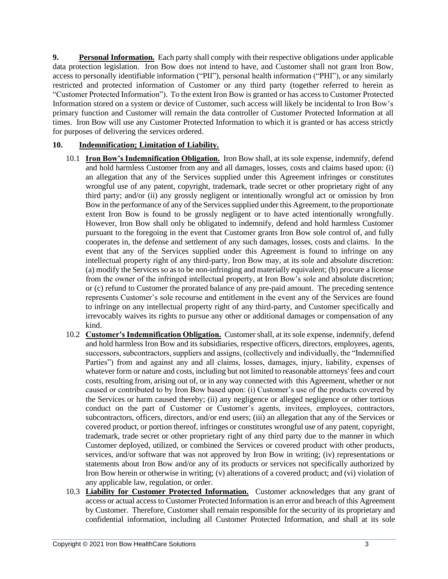**9. Personal Information.** Each party shall comply with their respective obligations under applicable data protection legislation. Iron Bow does not intend to have, and Customer shall not grant Iron Bow, access to personally identifiable information ("PII"), personal health information ("PHI"), or any similarly restricted and protected information of Customer or any third party (together referred to herein as "Customer Protected Information"). To the extent Iron Bow is granted or has access to Customer Protected Information stored on a system or device of Customer, such access will likely be incidental to Iron Bow's primary function and Customer will remain the data controller of Customer Protected Information at all times. Iron Bow will use any Customer Protected Information to which it is granted or has access strictly for purposes of delivering the services ordered.

#### **10. Indemnification; Limitation of Liability.**

- 10.1 **Iron Bow's Indemnification Obligation.** Iron Bow shall, at its sole expense, indemnify, defend and hold harmless Customer from any and all damages, losses, costs and claims based upon: (i) an allegation that any of the Services supplied under this Agreement infringes or constitutes wrongful use of any patent, copyright, trademark, trade secret or other proprietary right of any third party; and/or (ii) any grossly negligent or intentionally wrongful act or omission by Iron Bow in the performance of any of the Services supplied under this Agreement, to the proportionate extent Iron Bow is found to be grossly negligent or to have acted intentionally wrongfully. However, Iron Bow shall only be obligated to indemnify, defend and hold harmless Customer pursuant to the foregoing in the event that Customer grants Iron Bow sole control of, and fully cooperates in, the defense and settlement of any such damages, losses, costs and claims. In the event that any of the Services supplied under this Agreement is found to infringe on any intellectual property right of any third-party, Iron Bow may, at its sole and absolute discretion: (a) modify the Services so as to be non-infringing and materially equivalent; (b) procure a license from the owner of the infringed intellectual property, at Iron Bow's sole and absolute discretion; or (c) refund to Customer the prorated balance of any pre-paid amount. The preceding sentence represents Customer's sole recourse and entitlement in the event any of the Services are found to infringe on any intellectual property right of any third-party, and Customer specifically and irrevocably waives its rights to pursue any other or additional damages or compensation of any kind.
- 10.2 **Customer's Indemnification Obligation.** Customer shall, at its sole expense, indemnify, defend and hold harmless Iron Bow and its subsidiaries, respective officers, directors, employees, agents, successors, subcontractors, suppliers and assigns, (collectively and individually, the "Indemnified Parties") from and against any and all claims, losses, damages, injury, liability, expenses of whatever form or nature and costs, including but not limited to reasonable attorneys' fees and court costs, resulting from, arising out of, or in any way connected with this Agreement, whether or not caused or contributed to by Iron Bow based upon: (i) Customer's use of the products covered by the Services or harm caused thereby; (ii) any negligence or alleged negligence or other tortious conduct on the part of Customer or Customer's agents, invitees, employees, contractors, subcontractors, officers, directors, and/or end users; (iii) an allegation that any of the Services or covered product, or portion thereof, infringes or constitutes wrongful use of any patent, copyright, trademark, trade secret or other proprietary right of any third party due to the manner in which Customer deployed, utilized, or combined the Services or covered product with other products, services, and/or software that was not approved by Iron Bow in writing; (iv) representations or statements about Iron Bow and/or any of its products or services not specifically authorized by Iron Bow herein or otherwise in writing; (v) alterations of a covered product; and (vi) violation of any applicable law, regulation, or order.
- 10.3 **Liability for Customer Protected Information.** Customer acknowledges that any grant of access or actual access to Customer Protected Information is an error and breach of this Agreement by Customer. Therefore, Customer shall remain responsible for the security of its proprietary and confidential information, including all Customer Protected Information, and shall at its sole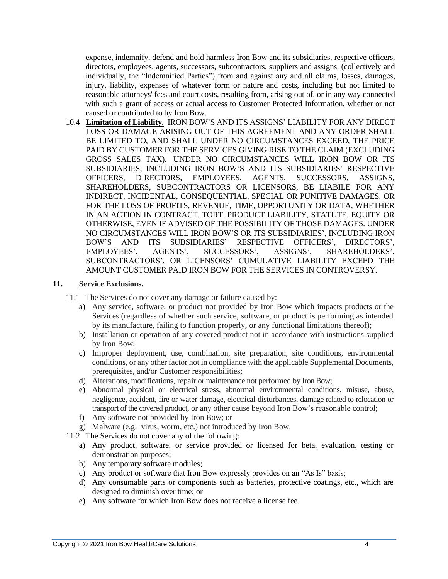expense, indemnify, defend and hold harmless Iron Bow and its subsidiaries, respective officers, directors, employees, agents, successors, subcontractors, suppliers and assigns, (collectively and individually, the "Indemnified Parties") from and against any and all claims, losses, damages, injury, liability, expenses of whatever form or nature and costs, including but not limited to reasonable attorneys' fees and court costs, resulting from, arising out of, or in any way connected with such a grant of access or actual access to Customer Protected Information, whether or not caused or contributed to by Iron Bow.

10.4 **Limitation of Liability.** IRON BOW'S AND ITS ASSIGNS' LIABILITY FOR ANY DIRECT LOSS OR DAMAGE ARISING OUT OF THIS AGREEMENT AND ANY ORDER SHALL BE LIMITED TO, AND SHALL UNDER NO CIRCUMSTANCES EXCEED, THE PRICE PAID BY CUSTOMER FOR THE SERVICES GIVING RISE TO THE CLAIM (EXCLUDING GROSS SALES TAX). UNDER NO CIRCUMSTANCES WILL IRON BOW OR ITS SUBSIDIARIES, INCLUDING IRON BOW'S AND ITS SUBSIDIARIES' RESPECTIVE OFFICERS, DIRECTORS, EMPLOYEES, AGENTS, SUCCESSORS, ASSIGNS, SHAREHOLDERS, SUBCONTRACTORS OR LICENSORS, BE LIABILE FOR ANY INDIRECT, INCIDENTAL, CONSEQUENTIAL, SPECIAL OR PUNITIVE DAMAGES, OR FOR THE LOSS OF PROFITS, REVENUE, TIME, OPPORTUNITY OR DATA, WHETHER IN AN ACTION IN CONTRACT, TORT, PRODUCT LIABILITY, STATUTE, EQUITY OR OTHERWISE, EVEN IF ADVISED OF THE POSSIBILITY OF THOSE DAMAGES. UNDER NO CIRCUMSTANCES WILL IRON BOW'S OR ITS SUBSIDIARIES', INCLUDING IRON BOW'S AND ITS SUBSIDIARIES' RESPECTIVE OFFICERS', DIRECTORS', EMPLOYEES', AGENTS', SUCCESSORS', ASSIGNS', SHAREHOLDERS', SUBCONTRACTORS', OR LICENSORS' CUMULATIVE LIABILITY EXCEED THE AMOUNT CUSTOMER PAID IRON BOW FOR THE SERVICES IN CONTROVERSY.

#### **11. Service Exclusions.**

- 11.1 The Services do not cover any damage or failure caused by:
	- a) Any service, software, or product not provided by Iron Bow which impacts products or the Services (regardless of whether such service, software, or product is performing as intended by its manufacture, failing to function properly, or any functional limitations thereof);
	- b) Installation or operation of any covered product not in accordance with instructions supplied by Iron Bow;
	- c) Improper deployment, use, combination, site preparation, site conditions, environmental conditions, or any other factor not in compliance with the applicable Supplemental Documents, prerequisites, and/or Customer responsibilities;
	- d) Alterations, modifications, repair or maintenance not performed by Iron Bow;
	- e) Abnormal physical or electrical stress, abnormal environmental conditions, misuse, abuse, negligence, accident, fire or water damage, electrical disturbances, damage related to relocation or transport of the covered product, or any other cause beyond Iron Bow's reasonable control;
	- f) Any software not provided by Iron Bow; or
	- g) Malware (e.g. virus, worm, etc.) not introduced by Iron Bow.
- 11.2 The Services do not cover any of the following:
	- a) Any product, software, or service provided or licensed for beta, evaluation, testing or demonstration purposes;
	- b) Any temporary software modules;
	- c) Any product or software that Iron Bow expressly provides on an "As Is" basis;
	- d) Any consumable parts or components such as batteries, protective coatings, etc., which are designed to diminish over time; or
	- e) Any software for which Iron Bow does not receive a license fee.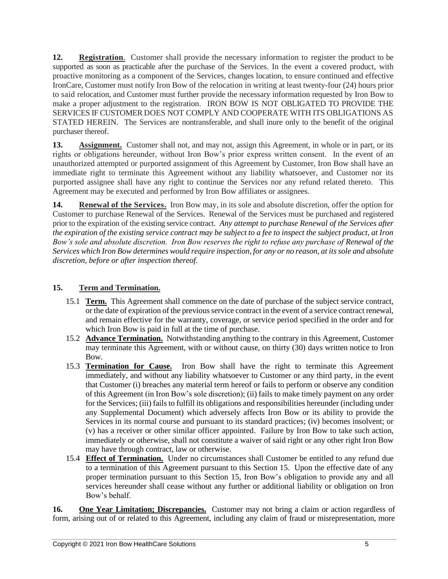**12. Registration**. Customer shall provide the necessary information to register the product to be supported as soon as practicable after the purchase of the Services. In the event a covered product, with proactive monitoring as a component of the Services, changes location, to ensure continued and effective IronCare, Customer must notify Iron Bow of the relocation in writing at least twenty-four (24) hours prior to said relocation, and Customer must further provide the necessary information requested by Iron Bow to make a proper adjustment to the registration. IRON BOW IS NOT OBLIGATED TO PROVIDE THE SERVICES IF CUSTOMER DOES NOT COMPLY AND COOPERATE WITH ITS OBLIGATIONS AS STATED HEREIN. The Services are nontransferable, and shall inure only to the benefit of the original purchaser thereof.

**13. Assignment.** Customer shall not, and may not, assign this Agreement, in whole or in part, or its rights or obligations hereunder, without Iron Bow's prior express written consent. In the event of an unauthorized attempted or purported assignment of this Agreement by Customer, Iron Bow shall have an immediate right to terminate this Agreement without any liability whatsoever, and Customer nor its purported assignee shall have any right to continue the Services nor any refund related thereto. This Agreement may be executed and performed by Iron Bow affiliates or assignees.

**14. Renewal of the Services.** Iron Bow may, in its sole and absolute discretion, offer the option for Customer to purchase Renewal of the Services. Renewal of the Services must be purchased and registered prior to the expiration of the existing service contract. *Any attempt to purchase Renewal of the Services after the expiration of the existing service contract may be subject to a fee to inspect the subject product, at Iron Bow's sole and absolute discretion. Iron Bow reserves the right to refuse any purchase of Renewal of the Services which Iron Bow determines would require inspection, for any or no reason, at its sole and absolute discretion, before or after inspection thereof.*

## **15. Term and Termination.**

- 15.1 **Term.** This Agreement shall commence on the date of purchase of the subject service contract, or the date of expiration of the previous service contract in the event of a service contract renewal, and remain effective for the warranty, coverage, or service period specified in the order and for which Iron Bow is paid in full at the time of purchase.
- 15.2 **Advance Termination.** Notwithstanding anything to the contrary in this Agreement, Customer may terminate this Agreement, with or without cause, on thirty (30) days written notice to Iron Bow.
- 15.3 **Termination for Cause.** Iron Bow shall have the right to terminate this Agreement immediately, and without any liability whatsoever to Customer or any third party, in the event that Customer (i) breaches any material term hereof or fails to perform or observe any condition of this Agreement (in Iron Bow's sole discretion); (ii) fails to make timely payment on any order for the Services; (iii) fails to fulfill its obligations and responsibilities hereunder (including under any Supplemental Document) which adversely affects Iron Bow or its ability to provide the Services in its normal course and pursuant to its standard practices; (iv) becomes insolvent; or (v) has a receiver or other similar officer appointed. Failure by Iron Bow to take such action, immediately or otherwise, shall not constitute a waiver of said right or any other right Iron Bow may have through contract, law or otherwise.
- 15.4 **Effect of Termination.** Under no circumstances shall Customer be entitled to any refund due to a termination of this Agreement pursuant to this Section 15. Upon the effective date of any proper termination pursuant to this Section 15, Iron Bow's obligation to provide any and all services hereunder shall cease without any further or additional liability or obligation on Iron Bow's behalf.

**16. One Year Limitation; Discrepancies.** Customer may not bring a claim or action regardless of form, arising out of or related to this Agreement, including any claim of fraud or misrepresentation, more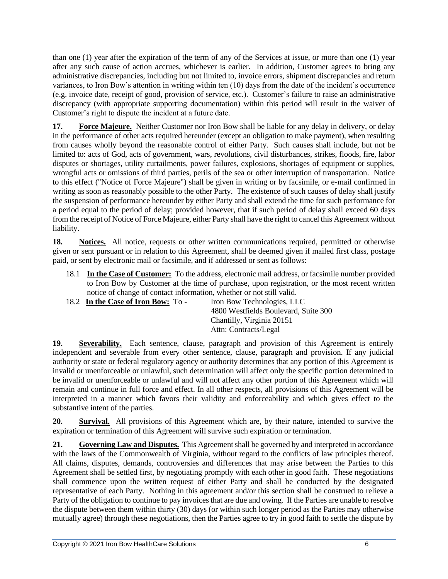than one (1) year after the expiration of the term of any of the Services at issue, or more than one (1) year after any such cause of action accrues, whichever is earlier. In addition, Customer agrees to bring any administrative discrepancies, including but not limited to, invoice errors, shipment discrepancies and return variances, to Iron Bow's attention in writing within ten (10) days from the date of the incident's occurrence (e.g. invoice date, receipt of good, provision of service, etc.). Customer's failure to raise an administrative discrepancy (with appropriate supporting documentation) within this period will result in the waiver of Customer's right to dispute the incident at a future date.

**17. Force Majeure.** Neither Customer nor Iron Bow shall be liable for any delay in delivery, or delay in the performance of other acts required hereunder (except an obligation to make payment), when resulting from causes wholly beyond the reasonable control of either Party. Such causes shall include, but not be limited to: acts of God, acts of government, wars, revolutions, civil disturbances, strikes, floods, fire, labor disputes or shortages, utility curtailments, power failures, explosions, shortages of equipment or supplies, wrongful acts or omissions of third parties, perils of the sea or other interruption of transportation. Notice to this effect ("Notice of Force Majeure") shall be given in writing or by facsimile, or e-mail confirmed in writing as soon as reasonably possible to the other Party. The existence of such causes of delay shall justify the suspension of performance hereunder by either Party and shall extend the time for such performance for a period equal to the period of delay; provided however, that if such period of delay shall exceed 60 days from the receipt of Notice of Force Majeure, either Party shall have the right to cancel this Agreement without liability.

**18. Notices.** All notice, requests or other written communications required, permitted or otherwise given or sent pursuant or in relation to this Agreement, shall be deemed given if mailed first class, postage paid, or sent by electronic mail or facsimile, and if addressed or sent as follows:

- 18.1 **In the Case of Customer:** To the address, electronic mail address, or facsimile number provided to Iron Bow by Customer at the time of purchase, upon registration, or the most recent written notice of change of contact information, whether or not still valid.
- 18.2 **In the Case of Iron Bow:** To Iron Bow Technologies, LLC 4800 Westfields Boulevard, Suite 300 Chantilly, Virginia 20151 Attn: Contracts/Legal

**19. Severability.** Each sentence, clause, paragraph and provision of this Agreement is entirely independent and severable from every other sentence, clause, paragraph and provision. If any judicial authority or state or federal regulatory agency or authority determines that any portion of this Agreement is invalid or unenforceable or unlawful, such determination will affect only the specific portion determined to be invalid or unenforceable or unlawful and will not affect any other portion of this Agreement which will remain and continue in full force and effect. In all other respects, all provisions of this Agreement will be interpreted in a manner which favors their validity and enforceability and which gives effect to the substantive intent of the parties.

**20. Survival.** All provisions of this Agreement which are, by their nature, intended to survive the expiration or termination of this Agreement will survive such expiration or termination.

**21. Governing Law and Disputes.** This Agreement shall be governed by and interpreted in accordance with the laws of the Commonwealth of Virginia, without regard to the conflicts of law principles thereof. All claims, disputes, demands, controversies and differences that may arise between the Parties to this Agreement shall be settled first, by negotiating promptly with each other in good faith. These negotiations shall commence upon the written request of either Party and shall be conducted by the designated representative of each Party. Nothing in this agreement and/or this section shall be construed to relieve a Party of the obligation to continue to pay invoices that are due and owing. If the Parties are unable to resolve the dispute between them within thirty (30) days (or within such longer period as the Parties may otherwise mutually agree) through these negotiations, then the Parties agree to try in good faith to settle the dispute by